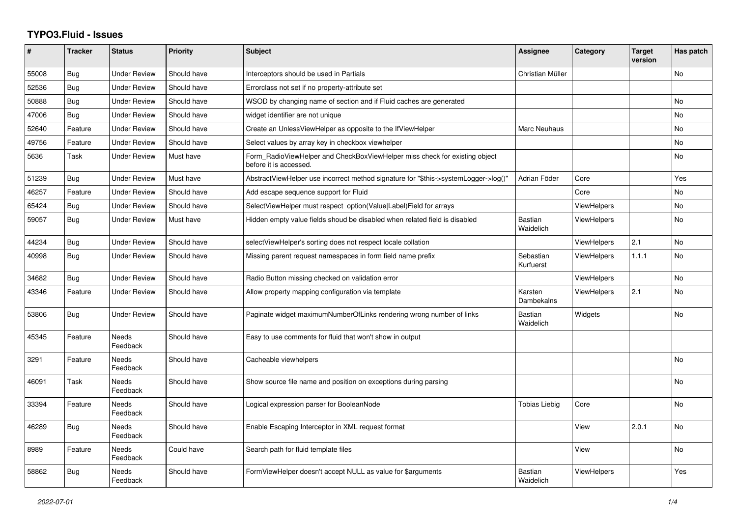## **TYPO3.Fluid - Issues**

| #     | <b>Tracker</b> | <b>Status</b>            | <b>Priority</b> | Subject                                                                                              | Assignee                    | Category           | <b>Target</b><br>version | Has patch |
|-------|----------------|--------------------------|-----------------|------------------------------------------------------------------------------------------------------|-----------------------------|--------------------|--------------------------|-----------|
| 55008 | Bug            | <b>Under Review</b>      | Should have     | Interceptors should be used in Partials                                                              | Christian Müller            |                    |                          | No        |
| 52536 | Bug            | <b>Under Review</b>      | Should have     | Errorclass not set if no property-attribute set                                                      |                             |                    |                          |           |
| 50888 | Bug            | <b>Under Review</b>      | Should have     | WSOD by changing name of section and if Fluid caches are generated                                   |                             |                    |                          | No        |
| 47006 | Bug            | <b>Under Review</b>      | Should have     | widget identifier are not unique                                                                     |                             |                    |                          | <b>No</b> |
| 52640 | Feature        | <b>Under Review</b>      | Should have     | Create an UnlessViewHelper as opposite to the IfViewHelper                                           | Marc Neuhaus                |                    |                          | <b>No</b> |
| 49756 | Feature        | <b>Under Review</b>      | Should have     | Select values by array key in checkbox viewhelper                                                    |                             |                    |                          | No        |
| 5636  | Task           | <b>Under Review</b>      | Must have       | Form RadioViewHelper and CheckBoxViewHelper miss check for existing object<br>before it is accessed. |                             |                    |                          | No        |
| 51239 | Bug            | <b>Under Review</b>      | Must have       | AbstractViewHelper use incorrect method signature for "\$this->systemLogger->log()"                  | Adrian Föder                | Core               |                          | Yes       |
| 46257 | Feature        | <b>Under Review</b>      | Should have     | Add escape sequence support for Fluid                                                                |                             | Core               |                          | <b>No</b> |
| 65424 | <b>Bug</b>     | <b>Under Review</b>      | Should have     | SelectViewHelper must respect option(Value Label)Field for arrays                                    |                             | ViewHelpers        |                          | No        |
| 59057 | Bug            | <b>Under Review</b>      | Must have       | Hidden empty value fields shoud be disabled when related field is disabled                           | <b>Bastian</b><br>Waidelich | <b>ViewHelpers</b> |                          | <b>No</b> |
| 44234 | <b>Bug</b>     | <b>Under Review</b>      | Should have     | selectViewHelper's sorting does not respect locale collation                                         |                             | ViewHelpers        | 2.1                      | <b>No</b> |
| 40998 | Bug            | <b>Under Review</b>      | Should have     | Missing parent request namespaces in form field name prefix                                          | Sebastian<br>Kurfuerst      | ViewHelpers        | 1.1.1                    | No        |
| 34682 | <b>Bug</b>     | <b>Under Review</b>      | Should have     | Radio Button missing checked on validation error                                                     |                             | <b>ViewHelpers</b> |                          | <b>No</b> |
| 43346 | Feature        | <b>Under Review</b>      | Should have     | Allow property mapping configuration via template                                                    | Karsten<br>Dambekalns       | <b>ViewHelpers</b> | 2.1                      | No        |
| 53806 | Bug            | <b>Under Review</b>      | Should have     | Paginate widget maximumNumberOfLinks rendering wrong number of links                                 | <b>Bastian</b><br>Waidelich | Widgets            |                          | No        |
| 45345 | Feature        | <b>Needs</b><br>Feedback | Should have     | Easy to use comments for fluid that won't show in output                                             |                             |                    |                          |           |
| 3291  | Feature        | Needs<br>Feedback        | Should have     | Cacheable viewhelpers                                                                                |                             |                    |                          | No        |
| 46091 | Task           | Needs<br>Feedback        | Should have     | Show source file name and position on exceptions during parsing                                      |                             |                    |                          | No        |
| 33394 | Feature        | <b>Needs</b><br>Feedback | Should have     | Logical expression parser for BooleanNode                                                            | Tobias Liebig               | Core               |                          | <b>No</b> |
| 46289 | Bug            | <b>Needs</b><br>Feedback | Should have     | Enable Escaping Interceptor in XML request format                                                    |                             | View               | 2.0.1                    | <b>No</b> |
| 8989  | Feature        | Needs<br>Feedback        | Could have      | Search path for fluid template files                                                                 |                             | View               |                          | No        |
| 58862 | Bug            | Needs<br>Feedback        | Should have     | FormViewHelper doesn't accept NULL as value for \$arguments                                          | <b>Bastian</b><br>Waidelich | <b>ViewHelpers</b> |                          | Yes       |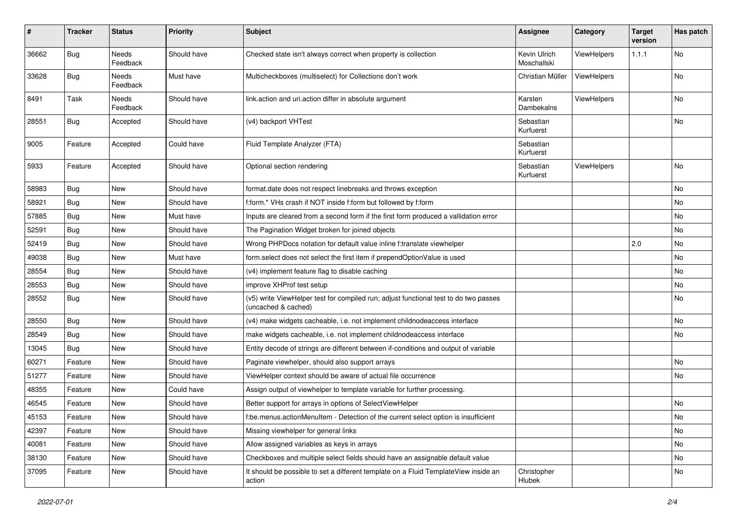| #     | <b>Tracker</b> | <b>Status</b>            | <b>Priority</b> | <b>Subject</b>                                                                                              | <b>Assignee</b>             | Category           | <b>Target</b><br>version | Has patch |
|-------|----------------|--------------------------|-----------------|-------------------------------------------------------------------------------------------------------------|-----------------------------|--------------------|--------------------------|-----------|
| 36662 | Bug            | <b>Needs</b><br>Feedback | Should have     | Checked state isn't always correct when property is collection                                              | Kevin Ulrich<br>Moschallski | ViewHelpers        | 1.1.1                    | No        |
| 33628 | <b>Bug</b>     | Needs<br>Feedback        | Must have       | Multicheckboxes (multiselect) for Collections don't work                                                    | Christian Müller            | <b>ViewHelpers</b> |                          | No        |
| 8491  | Task           | Needs<br>Feedback        | Should have     | link.action and uri.action differ in absolute argument                                                      | Karsten<br>Dambekalns       | ViewHelpers        |                          | No        |
| 28551 | Bug            | Accepted                 | Should have     | (v4) backport VHTest                                                                                        | Sebastian<br>Kurfuerst      |                    |                          | No        |
| 9005  | Feature        | Accepted                 | Could have      | Fluid Template Analyzer (FTA)                                                                               | Sebastian<br>Kurfuerst      |                    |                          |           |
| 5933  | Feature        | Accepted                 | Should have     | Optional section rendering                                                                                  | Sebastian<br>Kurfuerst      | ViewHelpers        |                          | <b>No</b> |
| 58983 | <b>Bug</b>     | New                      | Should have     | format.date does not respect linebreaks and throws exception                                                |                             |                    |                          | No        |
| 58921 | <b>Bug</b>     | New                      | Should have     | f:form.* VHs crash if NOT inside f:form but followed by f:form                                              |                             |                    |                          | No        |
| 57885 | Bug            | New                      | Must have       | Inputs are cleared from a second form if the first form produced a vallidation error                        |                             |                    |                          | No        |
| 52591 | <b>Bug</b>     | New                      | Should have     | The Pagination Widget broken for joined objects                                                             |                             |                    |                          | No        |
| 52419 | Bug            | New                      | Should have     | Wrong PHPDocs notation for default value inline f:translate viewhelper                                      |                             |                    | 2.0                      | No        |
| 49038 | <b>Bug</b>     | New                      | Must have       | form.select does not select the first item if prependOptionValue is used                                    |                             |                    |                          | No        |
| 28554 | <b>Bug</b>     | New                      | Should have     | (v4) implement feature flag to disable caching                                                              |                             |                    |                          | No        |
| 28553 | Bug            | New                      | Should have     | improve XHProf test setup                                                                                   |                             |                    |                          | No        |
| 28552 | <b>Bug</b>     | New                      | Should have     | (v5) write ViewHelper test for compiled run; adjust functional test to do two passes<br>(uncached & cached) |                             |                    |                          | No        |
| 28550 | Bug            | New                      | Should have     | (v4) make widgets cacheable, i.e. not implement childnodeaccess interface                                   |                             |                    |                          | No        |
| 28549 | Bug            | New                      | Should have     | make widgets cacheable, i.e. not implement childnodeaccess interface                                        |                             |                    |                          | No        |
| 13045 | <b>Bug</b>     | <b>New</b>               | Should have     | Entity decode of strings are different between if-conditions and output of variable                         |                             |                    |                          |           |
| 60271 | Feature        | New                      | Should have     | Paginate viewhelper, should also support arrays                                                             |                             |                    |                          | No        |
| 51277 | Feature        | New                      | Should have     | ViewHelper context should be aware of actual file occurrence                                                |                             |                    |                          | No        |
| 48355 | Feature        | New                      | Could have      | Assign output of viewhelper to template variable for further processing.                                    |                             |                    |                          |           |
| 46545 | Feature        | New                      | Should have     | Better support for arrays in options of SelectViewHelper                                                    |                             |                    |                          | No        |
| 45153 | Feature        | New                      | Should have     | f:be.menus.actionMenuItem - Detection of the current select option is insufficient                          |                             |                    |                          | No        |
| 42397 | Feature        | New                      | Should have     | Missing viewhelper for general links                                                                        |                             |                    |                          | No        |
| 40081 | Feature        | New                      | Should have     | Allow assigned variables as keys in arrays                                                                  |                             |                    |                          | No        |
| 38130 | Feature        | New                      | Should have     | Checkboxes and multiple select fields should have an assignable default value                               |                             |                    |                          | No        |
| 37095 | Feature        | New                      | Should have     | It should be possible to set a different template on a Fluid TemplateView inside an<br>action               | Christopher<br>Hlubek       |                    |                          | No        |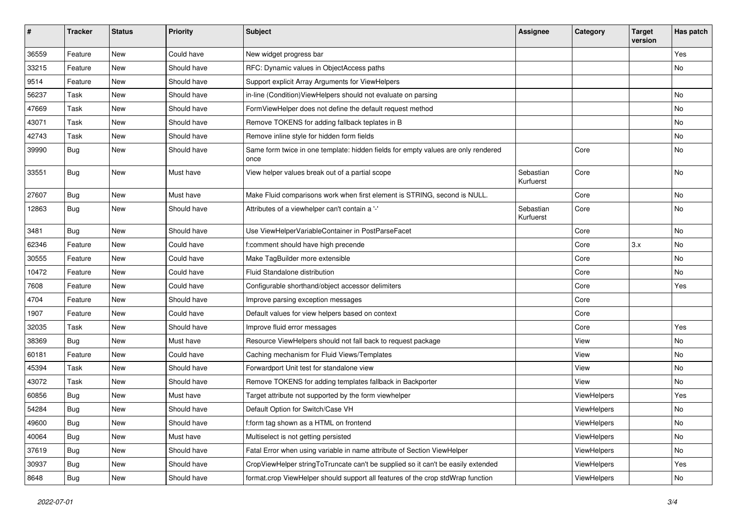| #     | <b>Tracker</b> | <b>Status</b> | <b>Priority</b> | Subject                                                                                   | <b>Assignee</b>        | Category    | <b>Target</b><br>version | Has patch     |
|-------|----------------|---------------|-----------------|-------------------------------------------------------------------------------------------|------------------------|-------------|--------------------------|---------------|
| 36559 | Feature        | New           | Could have      | New widget progress bar                                                                   |                        |             |                          | Yes           |
| 33215 | Feature        | New           | Should have     | RFC: Dynamic values in ObjectAccess paths                                                 |                        |             |                          | No            |
| 9514  | Feature        | New           | Should have     | Support explicit Array Arguments for ViewHelpers                                          |                        |             |                          |               |
| 56237 | Task           | New           | Should have     | in-line (Condition) ViewHelpers should not evaluate on parsing                            |                        |             |                          | No            |
| 47669 | Task           | New           | Should have     | FormViewHelper does not define the default request method                                 |                        |             |                          | No            |
| 43071 | Task           | New           | Should have     | Remove TOKENS for adding fallback teplates in B                                           |                        |             |                          | No            |
| 42743 | Task           | New           | Should have     | Remove inline style for hidden form fields                                                |                        |             |                          | No            |
| 39990 | <b>Bug</b>     | New           | Should have     | Same form twice in one template: hidden fields for empty values are only rendered<br>once |                        | Core        |                          | No            |
| 33551 | Bug            | New           | Must have       | View helper values break out of a partial scope                                           | Sebastian<br>Kurfuerst | Core        |                          | No            |
| 27607 | <b>Bug</b>     | New           | Must have       | Make Fluid comparisons work when first element is STRING, second is NULL.                 |                        | Core        |                          | No            |
| 12863 | Bug            | New           | Should have     | Attributes of a viewhelper can't contain a '-'                                            | Sebastian<br>Kurfuerst | Core        |                          | No            |
| 3481  | Bug            | New           | Should have     | Use ViewHelperVariableContainer in PostParseFacet                                         |                        | Core        |                          | No            |
| 62346 | Feature        | New           | Could have      | f:comment should have high precende                                                       |                        | Core        | 3.x                      | No            |
| 30555 | Feature        | New           | Could have      | Make TagBuilder more extensible                                                           |                        | Core        |                          | No            |
| 10472 | Feature        | New           | Could have      | Fluid Standalone distribution                                                             |                        | Core        |                          | No            |
| 7608  | Feature        | New           | Could have      | Configurable shorthand/object accessor delimiters                                         |                        | Core        |                          | Yes           |
| 4704  | Feature        | New           | Should have     | Improve parsing exception messages                                                        |                        | Core        |                          |               |
| 1907  | Feature        | New           | Could have      | Default values for view helpers based on context                                          |                        | Core        |                          |               |
| 32035 | Task           | New           | Should have     | Improve fluid error messages                                                              |                        | Core        |                          | Yes           |
| 38369 | Bug            | New           | Must have       | Resource ViewHelpers should not fall back to request package                              |                        | View        |                          | No            |
| 60181 | Feature        | New           | Could have      | Caching mechanism for Fluid Views/Templates                                               |                        | View        |                          | No            |
| 45394 | Task           | New           | Should have     | Forwardport Unit test for standalone view                                                 |                        | View        |                          | No            |
| 43072 | Task           | New           | Should have     | Remove TOKENS for adding templates fallback in Backporter                                 |                        | View        |                          | No            |
| 60856 | <b>Bug</b>     | New           | Must have       | Target attribute not supported by the form viewhelper                                     |                        | ViewHelpers |                          | Yes           |
| 54284 | <b>Bug</b>     | New           | Should have     | Default Option for Switch/Case VH                                                         |                        | ViewHelpers |                          | No            |
| 49600 | <b>Bug</b>     | New           | Should have     | f:form tag shown as a HTML on frontend                                                    |                        | ViewHelpers |                          | $\mathsf{No}$ |
| 40064 | Bug            | New           | Must have       | Multiselect is not getting persisted                                                      |                        | ViewHelpers |                          | No            |
| 37619 | <b>Bug</b>     | New           | Should have     | Fatal Error when using variable in name attribute of Section ViewHelper                   |                        | ViewHelpers |                          | No            |
| 30937 | Bug            | New           | Should have     | CropViewHelper stringToTruncate can't be supplied so it can't be easily extended          |                        | ViewHelpers |                          | Yes           |
| 8648  | Bug            | New           | Should have     | format.crop ViewHelper should support all features of the crop stdWrap function           |                        | ViewHelpers |                          | No            |